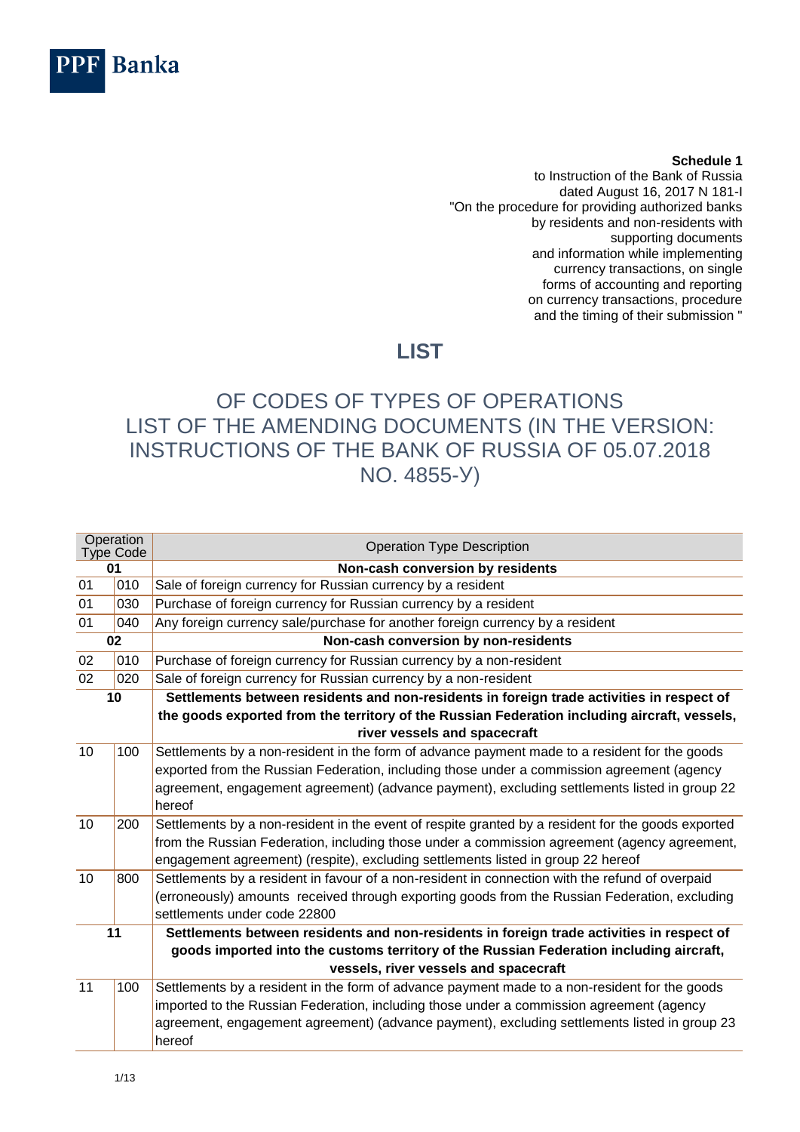

## **Schedule 1**

to Instruction of the Bank of Russia dated August 16, 2017 N 181-I "On the procedure for providing authorized banks by residents and non-residents with supporting documents and information while implementing currency transactions, on single forms of accounting and reporting on currency transactions, procedure and the timing of their submission "

## **LIST**

## OF CODES OF TYPES OF OPERATIONS LIST OF THE AMENDING DOCUMENTS (IN THE VERSION: INSTRUCTIONS OF THE BANK OF RUSSIA OF 05.07.2018 NO. 4855-У)

| Operation<br><b>Type Code</b> |     | <b>Operation Type Description</b>                                                                  |
|-------------------------------|-----|----------------------------------------------------------------------------------------------------|
| 01                            |     | Non-cash conversion by residents                                                                   |
| 01                            | 010 | Sale of foreign currency for Russian currency by a resident                                        |
| 01                            | 030 | Purchase of foreign currency for Russian currency by a resident                                    |
| 01                            | 040 | Any foreign currency sale/purchase for another foreign currency by a resident                      |
|                               | 02  | Non-cash conversion by non-residents                                                               |
| 02                            | 010 | Purchase of foreign currency for Russian currency by a non-resident                                |
| 02                            | 020 | Sale of foreign currency for Russian currency by a non-resident                                    |
|                               | 10  | Settlements between residents and non-residents in foreign trade activities in respect of          |
|                               |     | the goods exported from the territory of the Russian Federation including aircraft, vessels,       |
|                               |     | river vessels and spacecraft                                                                       |
| 10                            | 100 | Settlements by a non-resident in the form of advance payment made to a resident for the goods      |
|                               |     | exported from the Russian Federation, including those under a commission agreement (agency         |
|                               |     | agreement, engagement agreement) (advance payment), excluding settlements listed in group 22       |
|                               |     | hereof                                                                                             |
| 10                            | 200 | Settlements by a non-resident in the event of respite granted by a resident for the goods exported |
|                               |     | from the Russian Federation, including those under a commission agreement (agency agreement,       |
|                               |     | engagement agreement) (respite), excluding settlements listed in group 22 hereof                   |
| 10                            | 800 | Settlements by a resident in favour of a non-resident in connection with the refund of overpaid    |
|                               |     | (erroneously) amounts received through exporting goods from the Russian Federation, excluding      |
|                               |     | settlements under code 22800                                                                       |
|                               | 11  | Settlements between residents and non-residents in foreign trade activities in respect of          |
|                               |     | goods imported into the customs territory of the Russian Federation including aircraft,            |
|                               |     | vessels, river vessels and spacecraft                                                              |
| 11                            | 100 | Settlements by a resident in the form of advance payment made to a non-resident for the goods      |
|                               |     | imported to the Russian Federation, including those under a commission agreement (agency           |
|                               |     | agreement, engagement agreement) (advance payment), excluding settlements listed in group 23       |
|                               |     | hereof                                                                                             |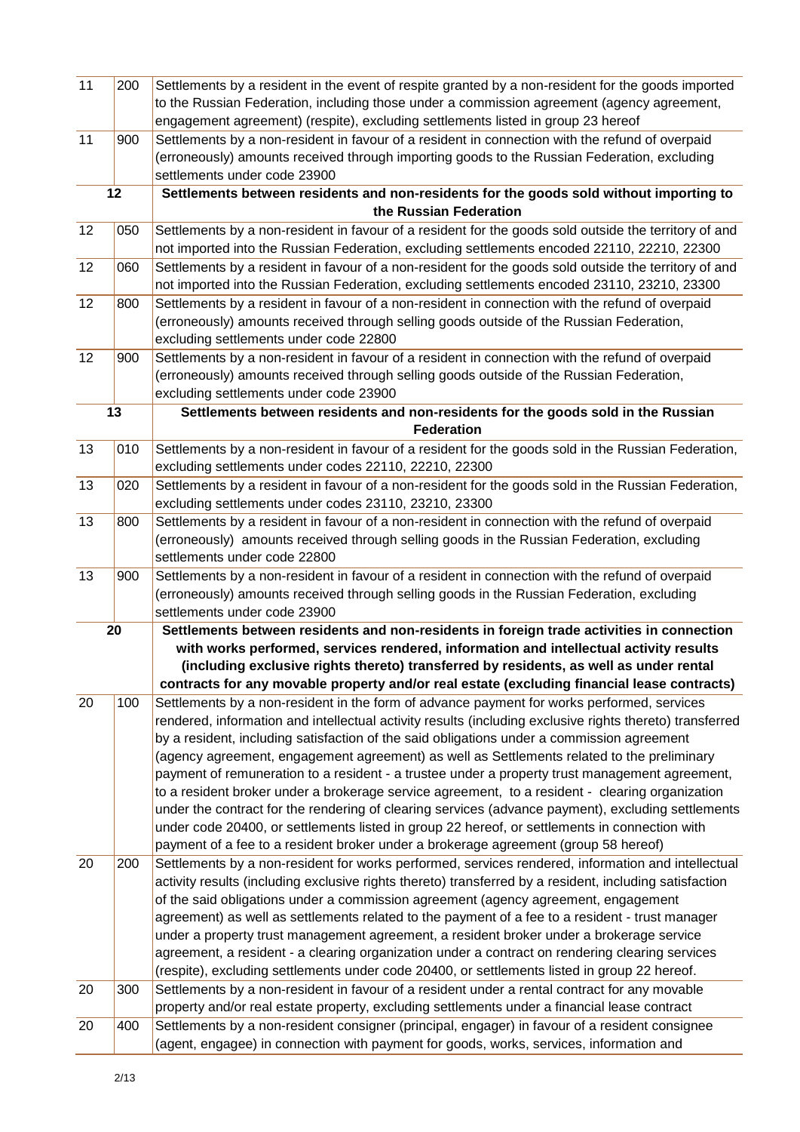| 11 | 200 | Settlements by a resident in the event of respite granted by a non-resident for the goods imported       |
|----|-----|----------------------------------------------------------------------------------------------------------|
|    |     | to the Russian Federation, including those under a commission agreement (agency agreement,               |
|    |     | engagement agreement) (respite), excluding settlements listed in group 23 hereof                         |
| 11 | 900 | Settlements by a non-resident in favour of a resident in connection with the refund of overpaid          |
|    |     | (erroneously) amounts received through importing goods to the Russian Federation, excluding              |
|    |     | settlements under code 23900                                                                             |
|    | 12  | Settlements between residents and non-residents for the goods sold without importing to                  |
|    |     | the Russian Federation                                                                                   |
| 12 | 050 | Settlements by a non-resident in favour of a resident for the goods sold outside the territory of and    |
|    |     | not imported into the Russian Federation, excluding settlements encoded 22110, 22210, 22300              |
| 12 | 060 | Settlements by a resident in favour of a non-resident for the goods sold outside the territory of and    |
|    |     | not imported into the Russian Federation, excluding settlements encoded 23110, 23210, 23300              |
| 12 | 800 | Settlements by a resident in favour of a non-resident in connection with the refund of overpaid          |
|    |     | (erroneously) amounts received through selling goods outside of the Russian Federation,                  |
|    |     | excluding settlements under code 22800                                                                   |
| 12 | 900 | Settlements by a non-resident in favour of a resident in connection with the refund of overpaid          |
|    |     | (erroneously) amounts received through selling goods outside of the Russian Federation,                  |
|    |     | excluding settlements under code 23900                                                                   |
|    | 13  | Settlements between residents and non-residents for the goods sold in the Russian                        |
|    |     | <b>Federation</b>                                                                                        |
| 13 | 010 | Settlements by a non-resident in favour of a resident for the goods sold in the Russian Federation,      |
|    |     | excluding settlements under codes 22110, 22210, 22300                                                    |
| 13 | 020 | Settlements by a resident in favour of a non-resident for the goods sold in the Russian Federation,      |
|    |     | excluding settlements under codes 23110, 23210, 23300                                                    |
| 13 | 800 | Settlements by a resident in favour of a non-resident in connection with the refund of overpaid          |
|    |     | (erroneously) amounts received through selling goods in the Russian Federation, excluding                |
|    |     | settlements under code 22800                                                                             |
| 13 | 900 | Settlements by a non-resident in favour of a resident in connection with the refund of overpaid          |
|    |     | (erroneously) amounts received through selling goods in the Russian Federation, excluding                |
|    |     | settlements under code 23900                                                                             |
|    | 20  | Settlements between residents and non-residents in foreign trade activities in connection                |
|    |     | with works performed, services rendered, information and intellectual activity results                   |
|    |     | (including exclusive rights thereto) transferred by residents, as well as under rental                   |
|    |     | contracts for any movable property and/or real estate (excluding financial lease contracts)              |
| 20 | 100 | Settlements by a non-resident in the form of advance payment for works performed, services               |
|    |     | rendered, information and intellectual activity results (including exclusive rights thereto) transferred |
|    |     | by a resident, including satisfaction of the said obligations under a commission agreement               |
|    |     | (agency agreement, engagement agreement) as well as Settlements related to the preliminary               |
|    |     | payment of remuneration to a resident - a trustee under a property trust management agreement,           |
|    |     | to a resident broker under a brokerage service agreement, to a resident - clearing organization          |
|    |     | under the contract for the rendering of clearing services (advance payment), excluding settlements       |
|    |     | under code 20400, or settlements listed in group 22 hereof, or settlements in connection with            |
|    |     | payment of a fee to a resident broker under a brokerage agreement (group 58 hereof)                      |
| 20 | 200 | Settlements by a non-resident for works performed, services rendered, information and intellectual       |
|    |     | activity results (including exclusive rights thereto) transferred by a resident, including satisfaction  |
|    |     | of the said obligations under a commission agreement (agency agreement, engagement                       |
|    |     | agreement) as well as settlements related to the payment of a fee to a resident - trust manager          |
|    |     | under a property trust management agreement, a resident broker under a brokerage service                 |
|    |     | agreement, a resident - a clearing organization under a contract on rendering clearing services          |
|    |     | (respite), excluding settlements under code 20400, or settlements listed in group 22 hereof.             |
| 20 | 300 | Settlements by a non-resident in favour of a resident under a rental contract for any movable            |
|    |     | property and/or real estate property, excluding settlements under a financial lease contract             |
| 20 | 400 | Settlements by a non-resident consigner (principal, engager) in favour of a resident consignee           |
|    |     | (agent, engagee) in connection with payment for goods, works, services, information and                  |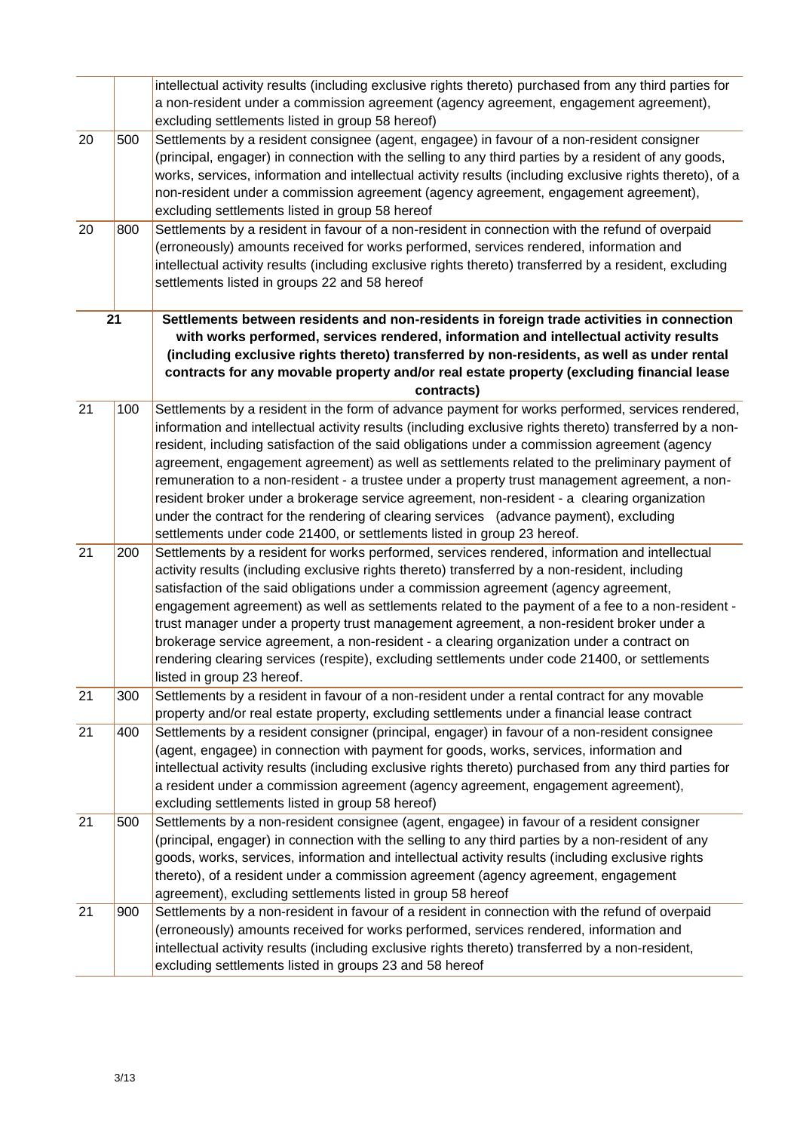|    |     | intellectual activity results (including exclusive rights thereto) purchased from any third parties for                                                                                                                                                                                                                                                                                                                                                                                                                                                                                                                                                                                                                                                                              |
|----|-----|--------------------------------------------------------------------------------------------------------------------------------------------------------------------------------------------------------------------------------------------------------------------------------------------------------------------------------------------------------------------------------------------------------------------------------------------------------------------------------------------------------------------------------------------------------------------------------------------------------------------------------------------------------------------------------------------------------------------------------------------------------------------------------------|
|    |     | a non-resident under a commission agreement (agency agreement, engagement agreement),<br>excluding settlements listed in group 58 hereof)                                                                                                                                                                                                                                                                                                                                                                                                                                                                                                                                                                                                                                            |
| 20 | 500 | Settlements by a resident consignee (agent, engagee) in favour of a non-resident consigner<br>(principal, engager) in connection with the selling to any third parties by a resident of any goods,<br>works, services, information and intellectual activity results (including exclusive rights thereto), of a<br>non-resident under a commission agreement (agency agreement, engagement agreement),<br>excluding settlements listed in group 58 hereof                                                                                                                                                                                                                                                                                                                            |
| 20 | 800 | Settlements by a resident in favour of a non-resident in connection with the refund of overpaid<br>(erroneously) amounts received for works performed, services rendered, information and<br>intellectual activity results (including exclusive rights thereto) transferred by a resident, excluding<br>settlements listed in groups 22 and 58 hereof                                                                                                                                                                                                                                                                                                                                                                                                                                |
|    | 21  | Settlements between residents and non-residents in foreign trade activities in connection<br>with works performed, services rendered, information and intellectual activity results<br>(including exclusive rights thereto) transferred by non-residents, as well as under rental                                                                                                                                                                                                                                                                                                                                                                                                                                                                                                    |
|    |     | contracts for any movable property and/or real estate property (excluding financial lease<br>contracts)                                                                                                                                                                                                                                                                                                                                                                                                                                                                                                                                                                                                                                                                              |
| 21 | 100 | Settlements by a resident in the form of advance payment for works performed, services rendered,<br>information and intellectual activity results (including exclusive rights thereto) transferred by a non-<br>resident, including satisfaction of the said obligations under a commission agreement (agency<br>agreement, engagement agreement) as well as settlements related to the preliminary payment of<br>remuneration to a non-resident - a trustee under a property trust management agreement, a non-<br>resident broker under a brokerage service agreement, non-resident - a clearing organization<br>under the contract for the rendering of clearing services (advance payment), excluding<br>settlements under code 21400, or settlements listed in group 23 hereof. |
| 21 | 200 | Settlements by a resident for works performed, services rendered, information and intellectual<br>activity results (including exclusive rights thereto) transferred by a non-resident, including<br>satisfaction of the said obligations under a commission agreement (agency agreement,<br>engagement agreement) as well as settlements related to the payment of a fee to a non-resident -<br>trust manager under a property trust management agreement, a non-resident broker under a<br>brokerage service agreement, a non-resident - a clearing organization under a contract on<br>rendering clearing services (respite), excluding settlements under code 21400, or settlements<br>listed in group 23 hereof.                                                                 |
| 21 | 300 | Settlements by a resident in favour of a non-resident under a rental contract for any movable<br>property and/or real estate property, excluding settlements under a financial lease contract                                                                                                                                                                                                                                                                                                                                                                                                                                                                                                                                                                                        |
| 21 | 400 | Settlements by a resident consigner (principal, engager) in favour of a non-resident consignee<br>(agent, engagee) in connection with payment for goods, works, services, information and<br>intellectual activity results (including exclusive rights thereto) purchased from any third parties for<br>a resident under a commission agreement (agency agreement, engagement agreement),<br>excluding settlements listed in group 58 hereof)                                                                                                                                                                                                                                                                                                                                        |
| 21 | 500 | Settlements by a non-resident consignee (agent, engagee) in favour of a resident consigner<br>(principal, engager) in connection with the selling to any third parties by a non-resident of any<br>goods, works, services, information and intellectual activity results (including exclusive rights<br>thereto), of a resident under a commission agreement (agency agreement, engagement<br>agreement), excluding settlements listed in group 58 hereof                                                                                                                                                                                                                                                                                                                            |
| 21 | 900 | Settlements by a non-resident in favour of a resident in connection with the refund of overpaid<br>(erroneously) amounts received for works performed, services rendered, information and<br>intellectual activity results (including exclusive rights thereto) transferred by a non-resident,<br>excluding settlements listed in groups 23 and 58 hereof                                                                                                                                                                                                                                                                                                                                                                                                                            |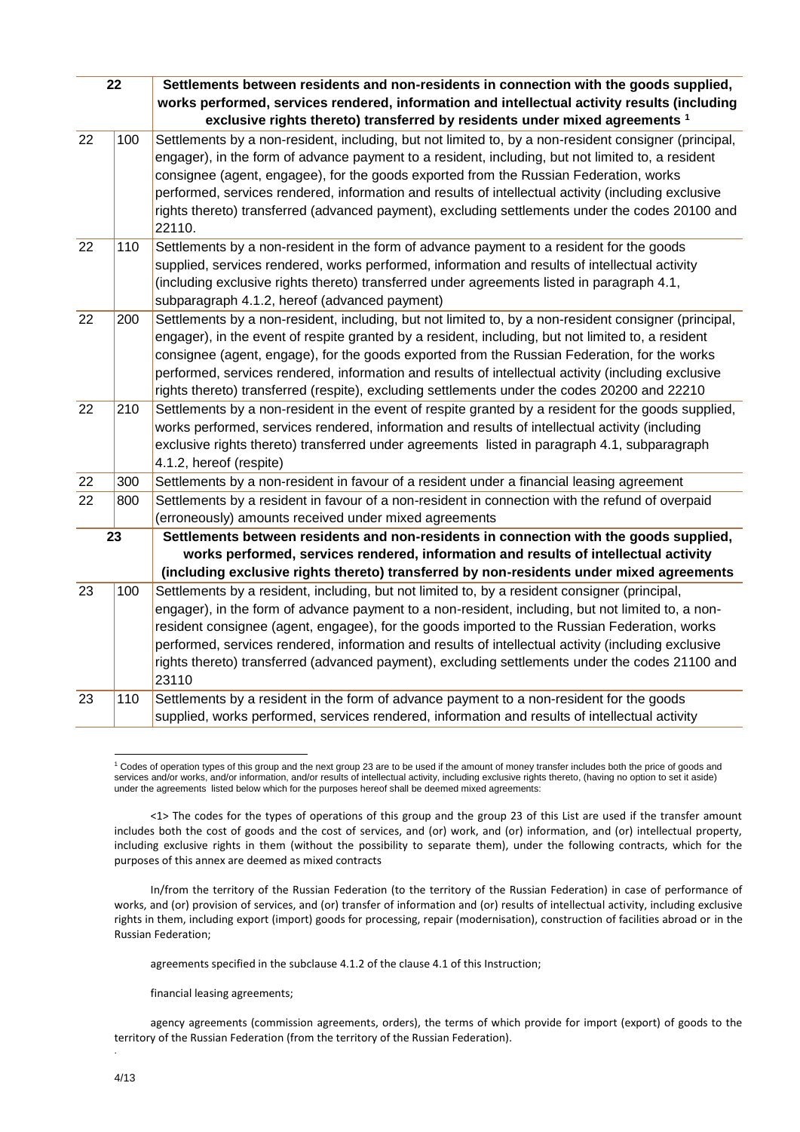| 22              |     | Settlements between residents and non-residents in connection with the goods supplied,                                                                                                                     |
|-----------------|-----|------------------------------------------------------------------------------------------------------------------------------------------------------------------------------------------------------------|
|                 |     | works performed, services rendered, information and intellectual activity results (including<br>exclusive rights thereto) transferred by residents under mixed agreements 1                                |
| 22              | 100 | Settlements by a non-resident, including, but not limited to, by a non-resident consigner (principal,<br>engager), in the form of advance payment to a resident, including, but not limited to, a resident |
|                 |     | consignee (agent, engagee), for the goods exported from the Russian Federation, works                                                                                                                      |
|                 |     | performed, services rendered, information and results of intellectual activity (including exclusive                                                                                                        |
|                 |     | rights thereto) transferred (advanced payment), excluding settlements under the codes 20100 and<br>22110.                                                                                                  |
| 22              | 110 | Settlements by a non-resident in the form of advance payment to a resident for the goods                                                                                                                   |
|                 |     | supplied, services rendered, works performed, information and results of intellectual activity                                                                                                             |
|                 |     | (including exclusive rights thereto) transferred under agreements listed in paragraph 4.1,<br>subparagraph 4.1.2, hereof (advanced payment)                                                                |
| 22              | 200 | Settlements by a non-resident, including, but not limited to, by a non-resident consigner (principal,                                                                                                      |
|                 |     | engager), in the event of respite granted by a resident, including, but not limited to, a resident                                                                                                         |
|                 |     | consignee (agent, engage), for the goods exported from the Russian Federation, for the works                                                                                                               |
|                 |     | performed, services rendered, information and results of intellectual activity (including exclusive<br>rights thereto) transferred (respite), excluding settlements under the codes 20200 and 22210        |
| $\overline{22}$ | 210 | Settlements by a non-resident in the event of respite granted by a resident for the goods supplied,                                                                                                        |
|                 |     | works performed, services rendered, information and results of intellectual activity (including                                                                                                            |
|                 |     | exclusive rights thereto) transferred under agreements listed in paragraph 4.1, subparagraph                                                                                                               |
|                 |     | 4.1.2, hereof (respite)                                                                                                                                                                                    |
| 22              | 300 | Settlements by a non-resident in favour of a resident under a financial leasing agreement                                                                                                                  |
| 22              | 800 | Settlements by a resident in favour of a non-resident in connection with the refund of overpaid<br>(erroneously) amounts received under mixed agreements                                                   |
|                 | 23  | Settlements between residents and non-residents in connection with the goods supplied,                                                                                                                     |
|                 |     | works performed, services rendered, information and results of intellectual activity                                                                                                                       |
|                 |     | (including exclusive rights thereto) transferred by non-residents under mixed agreements                                                                                                                   |
| 23              | 100 | Settlements by a resident, including, but not limited to, by a resident consigner (principal,                                                                                                              |
|                 |     | engager), in the form of advance payment to a non-resident, including, but not limited to, a non-                                                                                                          |
|                 |     | resident consignee (agent, engagee), for the goods imported to the Russian Federation, works                                                                                                               |
|                 |     | performed, services rendered, information and results of intellectual activity (including exclusive                                                                                                        |
|                 |     | rights thereto) transferred (advanced payment), excluding settlements under the codes 21100 and<br>23110                                                                                                   |
| 23              | 110 | Settlements by a resident in the form of advance payment to a non-resident for the goods                                                                                                                   |
|                 |     | supplied, works performed, services rendered, information and results of intellectual activity                                                                                                             |

1 <sup>1</sup> Codes of operation types of this group and the next group 23 are to be used if the amount of money transfer includes both the price of goods and services and/or works, and/or information, and/or results of intellectual activity, including exclusive rights thereto, (having no option to set it aside) under the agreements listed below which for the purposes hereof shall be deemed mixed agreements:

<1> The codes for the types of operations of this group and the group 23 of this List are used if the transfer amount includes both the cost of goods and the cost of services, and (or) work, and (or) information, and (or) intellectual property, including exclusive rights in them (without the possibility to separate them), under the following contracts, which for the purposes of this annex are deemed as mixed contracts

In/from the territory of the Russian Federation (to the territory of the Russian Federation) in case of performance of works, and (or) provision of services, and (or) transfer of information and (or) results of intellectual activity, including exclusive rights in them, including export (import) goods for processing, repair (modernisation), construction of facilities abroad or in the Russian Federation;

agreements specified in the subclause 4.1.2 of the clause 4.1 of this Instruction;

financial leasing agreements;

agency agreements (commission agreements, orders), the terms of which provide for import (export) of goods to the territory of the Russian Federation (from the territory of the Russian Federation).

.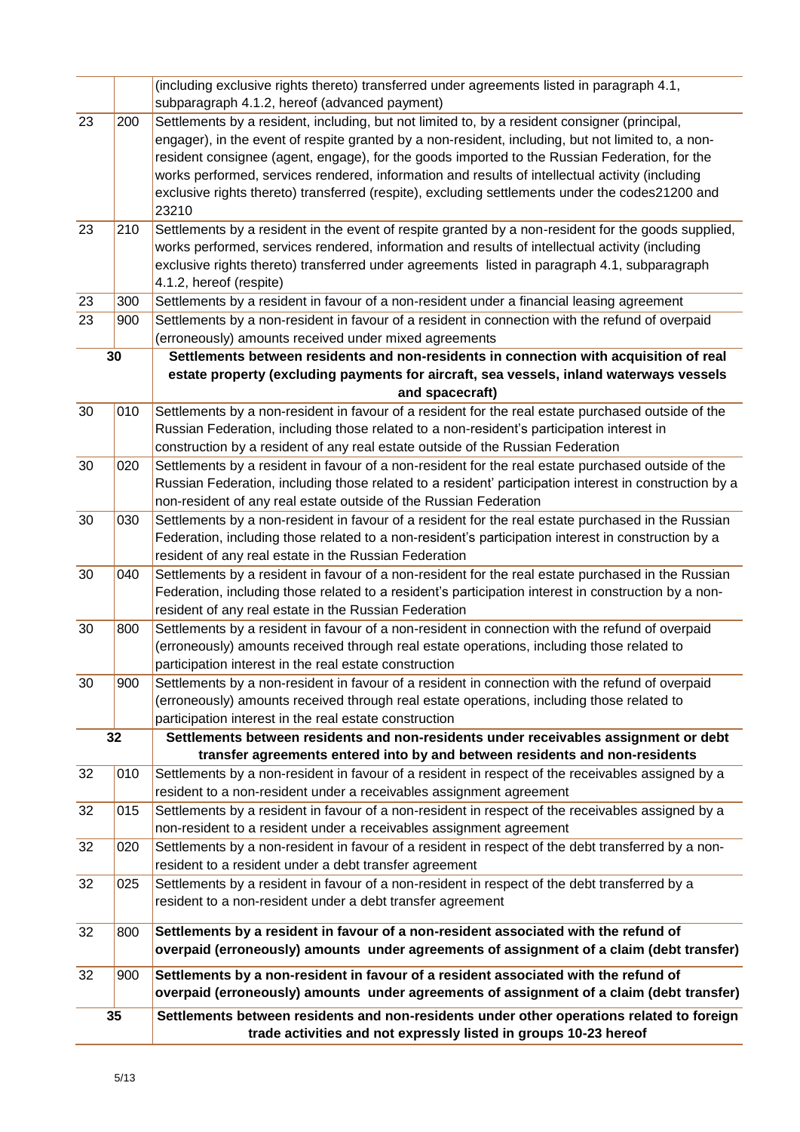|    |     | (including exclusive rights thereto) transferred under agreements listed in paragraph 4.1,                                                                                                          |
|----|-----|-----------------------------------------------------------------------------------------------------------------------------------------------------------------------------------------------------|
|    |     | subparagraph 4.1.2, hereof (advanced payment)                                                                                                                                                       |
| 23 | 200 | Settlements by a resident, including, but not limited to, by a resident consigner (principal,<br>engager), in the event of respite granted by a non-resident, including, but not limited to, a non- |
|    |     | resident consignee (agent, engage), for the goods imported to the Russian Federation, for the                                                                                                       |
|    |     | works performed, services rendered, information and results of intellectual activity (including                                                                                                     |
|    |     | exclusive rights thereto) transferred (respite), excluding settlements under the codes21200 and<br>23210                                                                                            |
| 23 | 210 | Settlements by a resident in the event of respite granted by a non-resident for the goods supplied,                                                                                                 |
|    |     | works performed, services rendered, information and results of intellectual activity (including                                                                                                     |
|    |     | exclusive rights thereto) transferred under agreements listed in paragraph 4.1, subparagraph<br>4.1.2, hereof (respite)                                                                             |
| 23 | 300 | Settlements by a resident in favour of a non-resident under a financial leasing agreement                                                                                                           |
| 23 | 900 | Settlements by a non-resident in favour of a resident in connection with the refund of overpaid                                                                                                     |
|    |     | (erroneously) amounts received under mixed agreements                                                                                                                                               |
|    | 30  | Settlements between residents and non-residents in connection with acquisition of real                                                                                                              |
|    |     | estate property (excluding payments for aircraft, sea vessels, inland waterways vessels                                                                                                             |
|    |     | and spacecraft)                                                                                                                                                                                     |
| 30 | 010 | Settlements by a non-resident in favour of a resident for the real estate purchased outside of the                                                                                                  |
|    |     | Russian Federation, including those related to a non-resident's participation interest in                                                                                                           |
|    |     | construction by a resident of any real estate outside of the Russian Federation                                                                                                                     |
| 30 | 020 | Settlements by a resident in favour of a non-resident for the real estate purchased outside of the                                                                                                  |
|    |     | Russian Federation, including those related to a resident' participation interest in construction by a<br>non-resident of any real estate outside of the Russian Federation                         |
| 30 | 030 | Settlements by a non-resident in favour of a resident for the real estate purchased in the Russian                                                                                                  |
|    |     | Federation, including those related to a non-resident's participation interest in construction by a                                                                                                 |
|    |     | resident of any real estate in the Russian Federation                                                                                                                                               |
| 30 | 040 | Settlements by a resident in favour of a non-resident for the real estate purchased in the Russian                                                                                                  |
|    |     | Federation, including those related to a resident's participation interest in construction by a non-                                                                                                |
|    |     | resident of any real estate in the Russian Federation                                                                                                                                               |
| 30 | 800 | Settlements by a resident in favour of a non-resident in connection with the refund of overpaid                                                                                                     |
|    |     | (erroneously) amounts received through real estate operations, including those related to                                                                                                           |
|    |     | participation interest in the real estate construction                                                                                                                                              |
| 30 | 900 | Settlements by a non-resident in favour of a resident in connection with the refund of overpaid                                                                                                     |
|    |     | (erroneously) amounts received through real estate operations, including those related to                                                                                                           |
|    |     | participation interest in the real estate construction                                                                                                                                              |
|    | 32  | Settlements between residents and non-residents under receivables assignment or debt<br>transfer agreements entered into by and between residents and non-residents                                 |
| 32 | 010 | Settlements by a non-resident in favour of a resident in respect of the receivables assigned by a                                                                                                   |
|    |     | resident to a non-resident under a receivables assignment agreement                                                                                                                                 |
| 32 | 015 | Settlements by a resident in favour of a non-resident in respect of the receivables assigned by a                                                                                                   |
|    |     | non-resident to a resident under a receivables assignment agreement                                                                                                                                 |
| 32 | 020 | Settlements by a non-resident in favour of a resident in respect of the debt transferred by a non-                                                                                                  |
|    |     | resident to a resident under a debt transfer agreement                                                                                                                                              |
| 32 | 025 | Settlements by a resident in favour of a non-resident in respect of the debt transferred by a                                                                                                       |
|    |     | resident to a non-resident under a debt transfer agreement                                                                                                                                          |
| 32 | 800 | Settlements by a resident in favour of a non-resident associated with the refund of                                                                                                                 |
|    |     | overpaid (erroneously) amounts under agreements of assignment of a claim (debt transfer)                                                                                                            |
| 32 | 900 | Settlements by a non-resident in favour of a resident associated with the refund of                                                                                                                 |
|    |     | overpaid (erroneously) amounts under agreements of assignment of a claim (debt transfer)                                                                                                            |
|    | 35  | Settlements between residents and non-residents under other operations related to foreign                                                                                                           |
|    |     | trade activities and not expressly listed in groups 10-23 hereof                                                                                                                                    |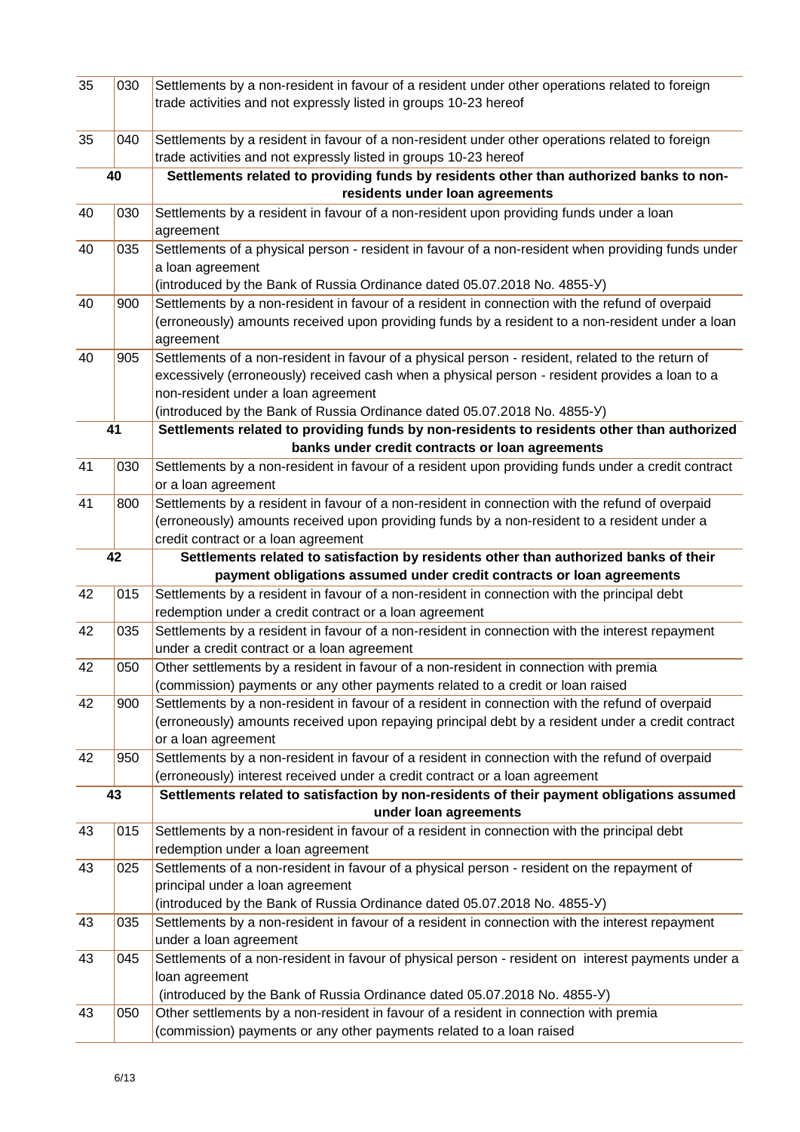| 35 | 030 | Settlements by a non-resident in favour of a resident under other operations related to foreign                                                               |
|----|-----|---------------------------------------------------------------------------------------------------------------------------------------------------------------|
|    |     | trade activities and not expressly listed in groups 10-23 hereof                                                                                              |
|    |     |                                                                                                                                                               |
| 35 | 040 | Settlements by a resident in favour of a non-resident under other operations related to foreign                                                               |
|    |     | trade activities and not expressly listed in groups 10-23 hereof                                                                                              |
|    | 40  | Settlements related to providing funds by residents other than authorized banks to non-                                                                       |
|    |     | residents under loan agreements                                                                                                                               |
| 40 | 030 | Settlements by a resident in favour of a non-resident upon providing funds under a loan                                                                       |
|    |     | agreement                                                                                                                                                     |
| 40 | 035 | Settlements of a physical person - resident in favour of a non-resident when providing funds under                                                            |
|    |     | a loan agreement                                                                                                                                              |
|    |     | (introduced by the Bank of Russia Ordinance dated 05.07.2018 No. 4855-Y)                                                                                      |
| 40 | 900 | Settlements by a non-resident in favour of a resident in connection with the refund of overpaid                                                               |
|    |     | (erroneously) amounts received upon providing funds by a resident to a non-resident under a loan                                                              |
|    |     | agreement                                                                                                                                                     |
| 40 | 905 | Settlements of a non-resident in favour of a physical person - resident, related to the return of                                                             |
|    |     | excessively (erroneously) received cash when a physical person - resident provides a loan to a                                                                |
|    |     | non-resident under a loan agreement                                                                                                                           |
|    |     | (introduced by the Bank of Russia Ordinance dated 05.07.2018 No. 4855-Y)                                                                                      |
| 41 |     | Settlements related to providing funds by non-residents to residents other than authorized                                                                    |
| 41 |     | banks under credit contracts or loan agreements<br>Settlements by a non-resident in favour of a resident upon providing funds under a credit contract         |
|    | 030 | or a loan agreement                                                                                                                                           |
| 41 | 800 | Settlements by a resident in favour of a non-resident in connection with the refund of overpaid                                                               |
|    |     | (erroneously) amounts received upon providing funds by a non-resident to a resident under a                                                                   |
|    |     | credit contract or a loan agreement                                                                                                                           |
|    | 42  | Settlements related to satisfaction by residents other than authorized banks of their                                                                         |
|    |     | payment obligations assumed under credit contracts or loan agreements                                                                                         |
| 42 | 015 | Settlements by a resident in favour of a non-resident in connection with the principal debt                                                                   |
|    |     | redemption under a credit contract or a loan agreement                                                                                                        |
| 42 | 035 | Settlements by a resident in favour of a non-resident in connection with the interest repayment                                                               |
|    |     | under a credit contract or a loan agreement                                                                                                                   |
| 42 | 050 | Other settlements by a resident in favour of a non-resident in connection with premia                                                                         |
|    |     | (commission) payments or any other payments related to a credit or loan raised                                                                                |
| 42 | 900 | Settlements by a non-resident in favour of a resident in connection with the refund of overpaid                                                               |
|    |     | (erroneously) amounts received upon repaying principal debt by a resident under a credit contract                                                             |
|    |     | or a loan agreement                                                                                                                                           |
| 42 | 950 | Settlements by a non-resident in favour of a resident in connection with the refund of overpaid                                                               |
|    |     | (erroneously) interest received under a credit contract or a loan agreement                                                                                   |
|    | 43  | Settlements related to satisfaction by non-residents of their payment obligations assumed                                                                     |
|    |     | under Ioan agreements                                                                                                                                         |
| 43 | 015 | Settlements by a non-resident in favour of a resident in connection with the principal debt                                                                   |
|    |     | redemption under a loan agreement                                                                                                                             |
| 43 | 025 | Settlements of a non-resident in favour of a physical person - resident on the repayment of                                                                   |
|    |     | principal under a loan agreement                                                                                                                              |
|    |     | (introduced by the Bank of Russia Ordinance dated 05.07.2018 No. 4855-Y)                                                                                      |
| 43 | 035 | Settlements by a non-resident in favour of a resident in connection with the interest repayment                                                               |
|    |     | under a loan agreement                                                                                                                                        |
| 43 | 045 | Settlements of a non-resident in favour of physical person - resident on interest payments under a                                                            |
|    |     | loan agreement                                                                                                                                                |
|    |     | (introduced by the Bank of Russia Ordinance dated 05.07.2018 No. 4855-Y)                                                                                      |
|    |     |                                                                                                                                                               |
| 43 | 050 | Other settlements by a non-resident in favour of a resident in connection with premia<br>(commission) payments or any other payments related to a loan raised |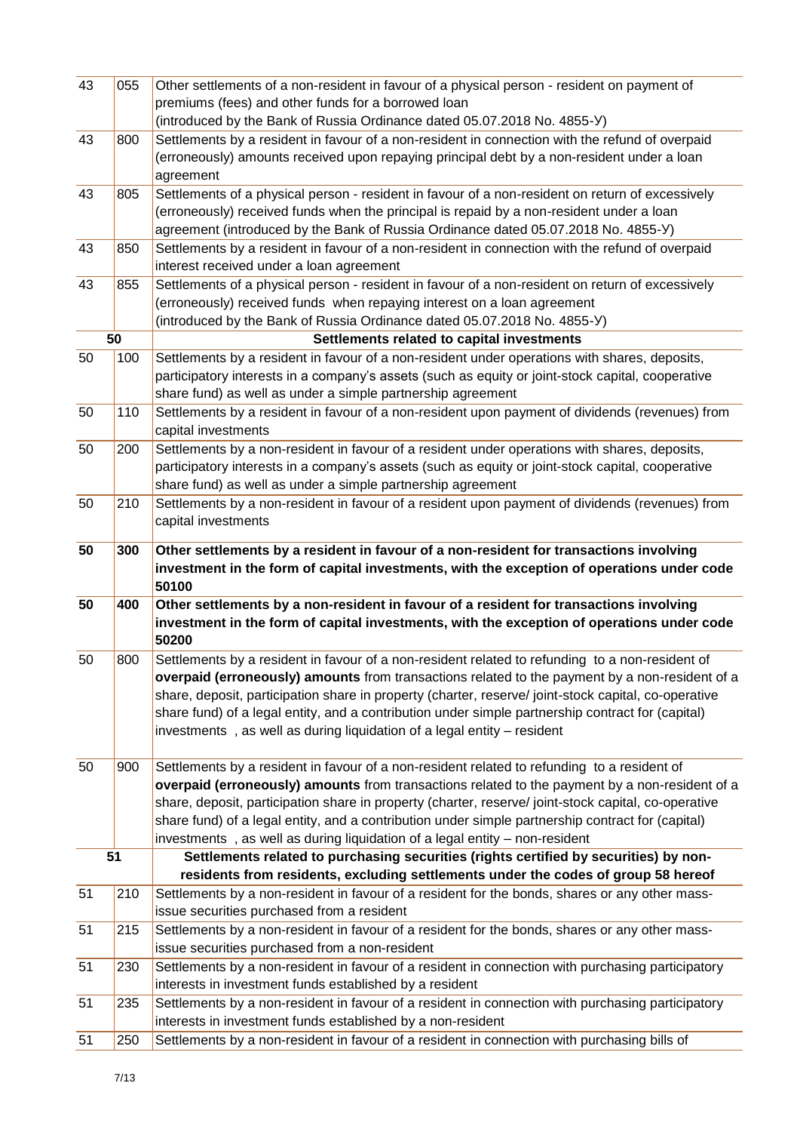| 43 | 055 | Other settlements of a non-resident in favour of a physical person - resident on payment of                                                                 |
|----|-----|-------------------------------------------------------------------------------------------------------------------------------------------------------------|
|    |     | premiums (fees) and other funds for a borrowed loan                                                                                                         |
|    |     | (introduced by the Bank of Russia Ordinance dated 05.07.2018 No. 4855-Y)                                                                                    |
| 43 | 800 | Settlements by a resident in favour of a non-resident in connection with the refund of overpaid                                                             |
|    |     | (erroneously) amounts received upon repaying principal debt by a non-resident under a loan                                                                  |
|    |     | agreement                                                                                                                                                   |
| 43 | 805 | Settlements of a physical person - resident in favour of a non-resident on return of excessively                                                            |
|    |     | (erroneously) received funds when the principal is repaid by a non-resident under a loan                                                                    |
|    |     | agreement (introduced by the Bank of Russia Ordinance dated 05.07.2018 No. 4855-Y)                                                                          |
| 43 | 850 | Settlements by a resident in favour of a non-resident in connection with the refund of overpaid                                                             |
|    |     | interest received under a loan agreement                                                                                                                    |
| 43 | 855 | Settlements of a physical person - resident in favour of a non-resident on return of excessively                                                            |
|    |     | (erroneously) received funds when repaying interest on a loan agreement                                                                                     |
|    |     | (introduced by the Bank of Russia Ordinance dated 05.07.2018 No. 4855-Y)                                                                                    |
|    | 50  | Settlements related to capital investments                                                                                                                  |
| 50 | 100 | Settlements by a resident in favour of a non-resident under operations with shares, deposits,                                                               |
|    |     | participatory interests in a company's assets (such as equity or joint-stock capital, cooperative                                                           |
|    |     | share fund) as well as under a simple partnership agreement                                                                                                 |
| 50 | 110 | Settlements by a resident in favour of a non-resident upon payment of dividends (revenues) from                                                             |
|    |     | capital investments                                                                                                                                         |
| 50 | 200 | Settlements by a non-resident in favour of a resident under operations with shares, deposits,                                                               |
|    |     | participatory interests in a company's assets (such as equity or joint-stock capital, cooperative                                                           |
|    |     | share fund) as well as under a simple partnership agreement                                                                                                 |
| 50 | 210 | Settlements by a non-resident in favour of a resident upon payment of dividends (revenues) from                                                             |
|    |     | capital investments                                                                                                                                         |
| 50 | 300 | Other settlements by a resident in favour of a non-resident for transactions involving                                                                      |
|    |     | investment in the form of capital investments, with the exception of operations under code<br>50100                                                         |
| 50 | 400 | Other settlements by a non-resident in favour of a resident for transactions involving                                                                      |
|    |     | investment in the form of capital investments, with the exception of operations under code                                                                  |
|    |     | 50200                                                                                                                                                       |
| 50 | 800 | Settlements by a resident in favour of a non-resident related to refunding to a non-resident of                                                             |
|    |     | overpaid (erroneously) amounts from transactions related to the payment by a non-resident of a                                                              |
|    |     | share, deposit, participation share in property (charter, reserve/ joint-stock capital, co-operative                                                        |
|    |     | share fund) of a legal entity, and a contribution under simple partnership contract for (capital)                                                           |
|    |     | investments, as well as during liquidation of a legal entity - resident                                                                                     |
|    |     |                                                                                                                                                             |
| 50 | 900 | Settlements by a resident in favour of a non-resident related to refunding to a resident of                                                                 |
|    |     | overpaid (erroneously) amounts from transactions related to the payment by a non-resident of a                                                              |
|    |     | share, deposit, participation share in property (charter, reserve/ joint-stock capital, co-operative                                                        |
|    |     | share fund) of a legal entity, and a contribution under simple partnership contract for (capital)                                                           |
|    |     | investments, as well as during liquidation of a legal entity - non-resident                                                                                 |
|    | 51  | Settlements related to purchasing securities (rights certified by securities) by non-                                                                       |
|    |     | residents from residents, excluding settlements under the codes of group 58 hereof                                                                          |
| 51 | 210 | Settlements by a non-resident in favour of a resident for the bonds, shares or any other mass-                                                              |
|    |     | issue securities purchased from a resident                                                                                                                  |
| 51 |     |                                                                                                                                                             |
|    |     |                                                                                                                                                             |
|    | 215 | Settlements by a non-resident in favour of a resident for the bonds, shares or any other mass-                                                              |
|    |     | issue securities purchased from a non-resident                                                                                                              |
| 51 | 230 | Settlements by a non-resident in favour of a resident in connection with purchasing participatory                                                           |
|    |     | interests in investment funds established by a resident                                                                                                     |
| 51 | 235 | Settlements by a non-resident in favour of a resident in connection with purchasing participatory                                                           |
| 51 | 250 | interests in investment funds established by a non-resident<br>Settlements by a non-resident in favour of a resident in connection with purchasing bills of |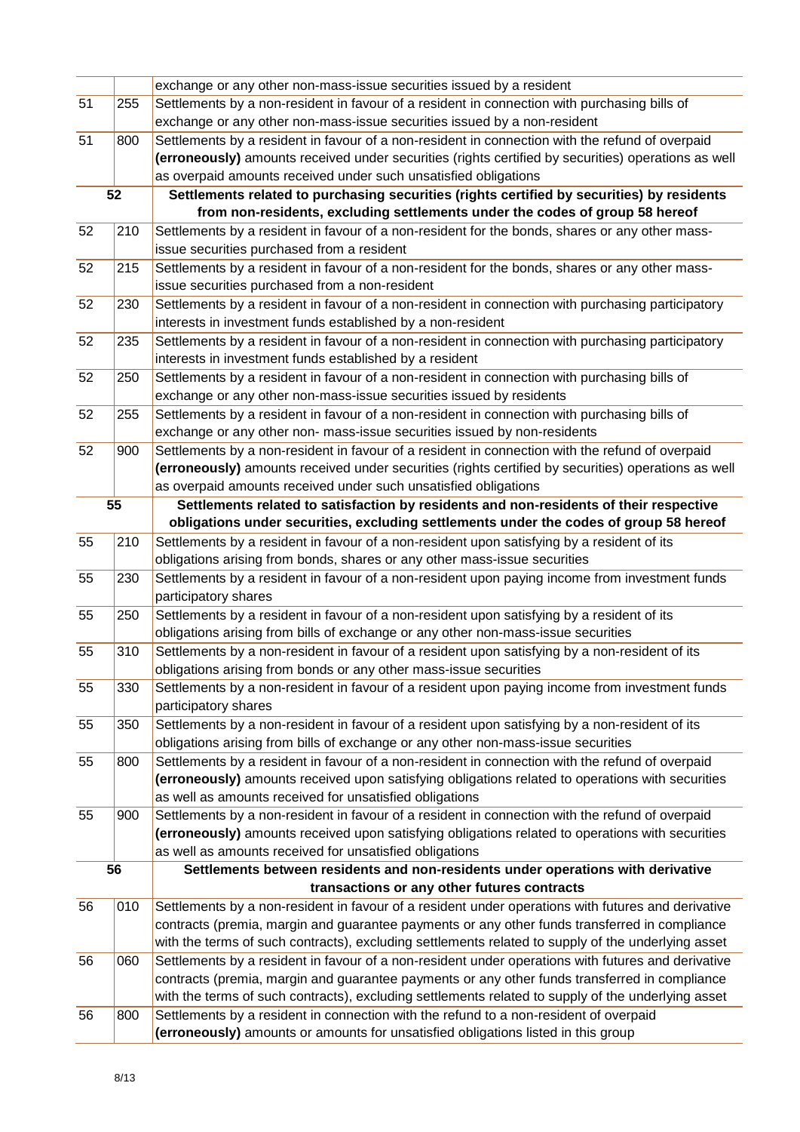|    |     | exchange or any other non-mass-issue securities issued by a resident                                                                                                             |
|----|-----|----------------------------------------------------------------------------------------------------------------------------------------------------------------------------------|
| 51 | 255 | Settlements by a non-resident in favour of a resident in connection with purchasing bills of                                                                                     |
|    |     | exchange or any other non-mass-issue securities issued by a non-resident                                                                                                         |
| 51 | 800 | Settlements by a resident in favour of a non-resident in connection with the refund of overpaid                                                                                  |
|    |     | (erroneously) amounts received under securities (rights certified by securities) operations as well                                                                              |
|    |     | as overpaid amounts received under such unsatisfied obligations                                                                                                                  |
|    | 52  | Settlements related to purchasing securities (rights certified by securities) by residents                                                                                       |
|    |     | from non-residents, excluding settlements under the codes of group 58 hereof                                                                                                     |
| 52 | 210 | Settlements by a resident in favour of a non-resident for the bonds, shares or any other mass-                                                                                   |
|    |     | issue securities purchased from a resident                                                                                                                                       |
| 52 | 215 | Settlements by a resident in favour of a non-resident for the bonds, shares or any other mass-                                                                                   |
|    |     | issue securities purchased from a non-resident                                                                                                                                   |
| 52 | 230 | Settlements by a resident in favour of a non-resident in connection with purchasing participatory                                                                                |
|    |     | interests in investment funds established by a non-resident                                                                                                                      |
| 52 | 235 | Settlements by a resident in favour of a non-resident in connection with purchasing participatory                                                                                |
|    |     | interests in investment funds established by a resident                                                                                                                          |
| 52 | 250 | Settlements by a resident in favour of a non-resident in connection with purchasing bills of                                                                                     |
|    |     | exchange or any other non-mass-issue securities issued by residents                                                                                                              |
| 52 | 255 | Settlements by a resident in favour of a non-resident in connection with purchasing bills of                                                                                     |
|    |     | exchange or any other non- mass-issue securities issued by non-residents                                                                                                         |
| 52 | 900 | Settlements by a non-resident in favour of a resident in connection with the refund of overpaid                                                                                  |
|    |     | (erroneously) amounts received under securities (rights certified by securities) operations as well                                                                              |
|    |     | as overpaid amounts received under such unsatisfied obligations                                                                                                                  |
| 55 |     | Settlements related to satisfaction by residents and non-residents of their respective<br>obligations under securities, excluding settlements under the codes of group 58 hereof |
| 55 | 210 | Settlements by a resident in favour of a non-resident upon satisfying by a resident of its                                                                                       |
|    |     | obligations arising from bonds, shares or any other mass-issue securities                                                                                                        |
| 55 | 230 | Settlements by a resident in favour of a non-resident upon paying income from investment funds                                                                                   |
|    |     | participatory shares                                                                                                                                                             |
| 55 | 250 | Settlements by a resident in favour of a non-resident upon satisfying by a resident of its                                                                                       |
|    |     | obligations arising from bills of exchange or any other non-mass-issue securities                                                                                                |
| 55 | 310 | Settlements by a non-resident in favour of a resident upon satisfying by a non-resident of its                                                                                   |
|    |     | obligations arising from bonds or any other mass-issue securities                                                                                                                |
| 55 | 330 | Settlements by a non-resident in favour of a resident upon paying income from investment funds                                                                                   |
|    |     | participatory shares                                                                                                                                                             |
| 55 | 350 | Settlements by a non-resident in favour of a resident upon satisfying by a non-resident of its                                                                                   |
|    |     | obligations arising from bills of exchange or any other non-mass-issue securities                                                                                                |
| 55 | 800 | Settlements by a resident in favour of a non-resident in connection with the refund of overpaid                                                                                  |
|    |     | (erroneously) amounts received upon satisfying obligations related to operations with securities                                                                                 |
|    |     | as well as amounts received for unsatisfied obligations                                                                                                                          |
| 55 | 900 | Settlements by a non-resident in favour of a resident in connection with the refund of overpaid                                                                                  |
|    |     | (erroneously) amounts received upon satisfying obligations related to operations with securities                                                                                 |
|    |     | as well as amounts received for unsatisfied obligations                                                                                                                          |
|    | 56  | Settlements between residents and non-residents under operations with derivative<br>transactions or any other futures contracts                                                  |
| 56 | 010 | Settlements by a non-resident in favour of a resident under operations with futures and derivative                                                                               |
|    |     | contracts (premia, margin and guarantee payments or any other funds transferred in compliance                                                                                    |
|    |     | with the terms of such contracts), excluding settlements related to supply of the underlying asset                                                                               |
| 56 | 060 | Settlements by a resident in favour of a non-resident under operations with futures and derivative                                                                               |
|    |     | contracts (premia, margin and guarantee payments or any other funds transferred in compliance                                                                                    |
|    |     | with the terms of such contracts), excluding settlements related to supply of the underlying asset                                                                               |
| 56 | 800 | Settlements by a resident in connection with the refund to a non-resident of overpaid                                                                                            |
|    |     | (erroneously) amounts or amounts for unsatisfied obligations listed in this group                                                                                                |
|    |     |                                                                                                                                                                                  |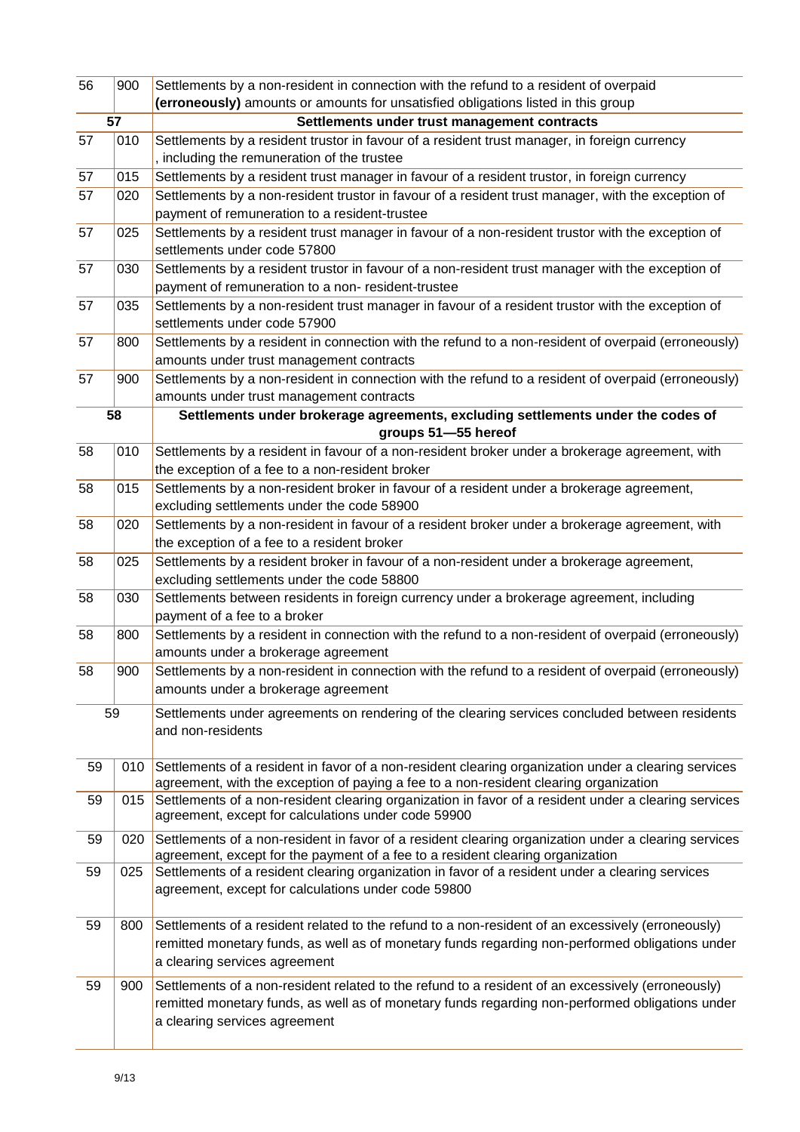| 56 | 900 | Settlements by a non-resident in connection with the refund to a resident of overpaid                                                                                                                                                 |
|----|-----|---------------------------------------------------------------------------------------------------------------------------------------------------------------------------------------------------------------------------------------|
|    |     | (erroneously) amounts or amounts for unsatisfied obligations listed in this group                                                                                                                                                     |
| 57 |     | Settlements under trust management contracts                                                                                                                                                                                          |
| 57 | 010 | Settlements by a resident trustor in favour of a resident trust manager, in foreign currency<br>, including the remuneration of the trustee                                                                                           |
| 57 | 015 | Settlements by a resident trust manager in favour of a resident trustor, in foreign currency                                                                                                                                          |
| 57 | 020 | Settlements by a non-resident trustor in favour of a resident trust manager, with the exception of                                                                                                                                    |
|    |     | payment of remuneration to a resident-trustee                                                                                                                                                                                         |
| 57 | 025 | Settlements by a resident trust manager in favour of a non-resident trustor with the exception of                                                                                                                                     |
|    |     | settlements under code 57800                                                                                                                                                                                                          |
| 57 | 030 | Settlements by a resident trustor in favour of a non-resident trust manager with the exception of<br>payment of remuneration to a non- resident-trustee                                                                               |
| 57 | 035 | Settlements by a non-resident trust manager in favour of a resident trustor with the exception of                                                                                                                                     |
|    |     | settlements under code 57900                                                                                                                                                                                                          |
| 57 | 800 | Settlements by a resident in connection with the refund to a non-resident of overpaid (erroneously)                                                                                                                                   |
|    |     | amounts under trust management contracts                                                                                                                                                                                              |
| 57 | 900 | Settlements by a non-resident in connection with the refund to a resident of overpaid (erroneously)                                                                                                                                   |
|    |     | amounts under trust management contracts                                                                                                                                                                                              |
|    | 58  | Settlements under brokerage agreements, excluding settlements under the codes of                                                                                                                                                      |
|    |     | groups 51-55 hereof                                                                                                                                                                                                                   |
| 58 | 010 | Settlements by a resident in favour of a non-resident broker under a brokerage agreement, with                                                                                                                                        |
|    |     | the exception of a fee to a non-resident broker                                                                                                                                                                                       |
| 58 | 015 | Settlements by a non-resident broker in favour of a resident under a brokerage agreement,                                                                                                                                             |
|    |     | excluding settlements under the code 58900                                                                                                                                                                                            |
| 58 | 020 | Settlements by a non-resident in favour of a resident broker under a brokerage agreement, with                                                                                                                                        |
| 58 | 025 | the exception of a fee to a resident broker<br>Settlements by a resident broker in favour of a non-resident under a brokerage agreement,                                                                                              |
|    |     | excluding settlements under the code 58800                                                                                                                                                                                            |
| 58 | 030 | Settlements between residents in foreign currency under a brokerage agreement, including                                                                                                                                              |
|    |     | payment of a fee to a broker                                                                                                                                                                                                          |
| 58 | 800 | Settlements by a resident in connection with the refund to a non-resident of overpaid (erroneously)                                                                                                                                   |
|    |     | amounts under a brokerage agreement                                                                                                                                                                                                   |
| 58 | 900 | Settlements by a non-resident in connection with the refund to a resident of overpaid (erroneously)                                                                                                                                   |
|    |     | amounts under a brokerage agreement                                                                                                                                                                                                   |
| 59 |     | Settlements under agreements on rendering of the clearing services concluded between residents<br>and non-residents                                                                                                                   |
| 59 | 010 | Settlements of a resident in favor of a non-resident clearing organization under a clearing services<br>agreement, with the exception of paying a fee to a non-resident clearing organization                                         |
| 59 | 015 | Settlements of a non-resident clearing organization in favor of a resident under a clearing services<br>agreement, except for calculations under code 59900                                                                           |
| 59 | 020 | Settlements of a non-resident in favor of a resident clearing organization under a clearing services<br>agreement, except for the payment of a fee to a resident clearing organization                                                |
| 59 | 025 | Settlements of a resident clearing organization in favor of a resident under a clearing services<br>agreement, except for calculations under code 59800                                                                               |
| 59 | 800 | Settlements of a resident related to the refund to a non-resident of an excessively (erroneously)<br>remitted monetary funds, as well as of monetary funds regarding non-performed obligations under<br>a clearing services agreement |
| 59 | 900 | Settlements of a non-resident related to the refund to a resident of an excessively (erroneously)<br>remitted monetary funds, as well as of monetary funds regarding non-performed obligations under<br>a clearing services agreement |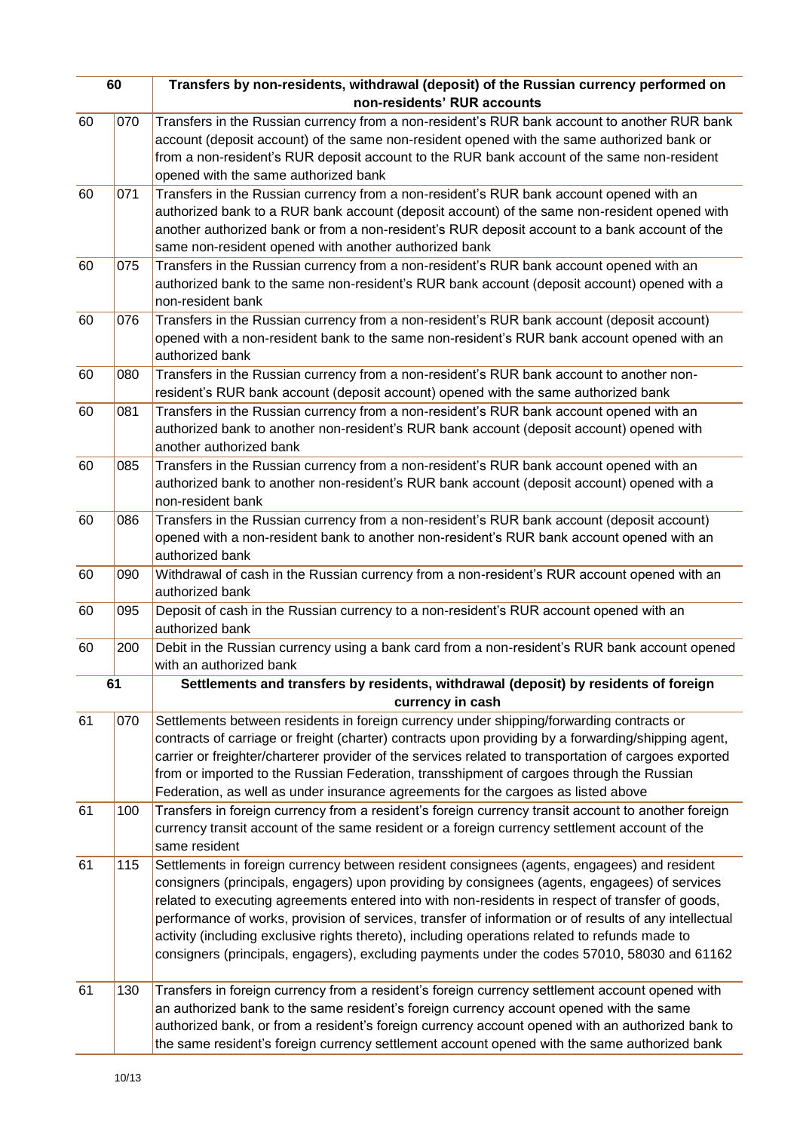| 60 |     | Transfers by non-residents, withdrawal (deposit) of the Russian currency performed on                  |
|----|-----|--------------------------------------------------------------------------------------------------------|
|    |     | non-residents' RUR accounts                                                                            |
| 60 | 070 | Transfers in the Russian currency from a non-resident's RUR bank account to another RUR bank           |
|    |     | account (deposit account) of the same non-resident opened with the same authorized bank or             |
|    |     | from a non-resident's RUR deposit account to the RUR bank account of the same non-resident             |
|    |     | opened with the same authorized bank                                                                   |
| 60 | 071 | Transfers in the Russian currency from a non-resident's RUR bank account opened with an                |
|    |     | authorized bank to a RUR bank account (deposit account) of the same non-resident opened with           |
|    |     | another authorized bank or from a non-resident's RUR deposit account to a bank account of the          |
|    |     | same non-resident opened with another authorized bank                                                  |
| 60 | 075 | Transfers in the Russian currency from a non-resident's RUR bank account opened with an                |
|    |     | authorized bank to the same non-resident's RUR bank account (deposit account) opened with a            |
|    |     | non-resident bank                                                                                      |
| 60 | 076 | Transfers in the Russian currency from a non-resident's RUR bank account (deposit account)             |
|    |     | opened with a non-resident bank to the same non-resident's RUR bank account opened with an             |
|    |     | authorized bank                                                                                        |
| 60 | 080 | Transfers in the Russian currency from a non-resident's RUR bank account to another non-               |
|    |     | resident's RUR bank account (deposit account) opened with the same authorized bank                     |
| 60 | 081 | Transfers in the Russian currency from a non-resident's RUR bank account opened with an                |
|    |     | authorized bank to another non-resident's RUR bank account (deposit account) opened with               |
|    |     | another authorized bank                                                                                |
| 60 | 085 | Transfers in the Russian currency from a non-resident's RUR bank account opened with an                |
|    |     | authorized bank to another non-resident's RUR bank account (deposit account) opened with a             |
|    |     | non-resident bank                                                                                      |
| 60 | 086 | Transfers in the Russian currency from a non-resident's RUR bank account (deposit account)             |
|    |     | opened with a non-resident bank to another non-resident's RUR bank account opened with an              |
|    |     | authorized bank                                                                                        |
| 60 | 090 | Withdrawal of cash in the Russian currency from a non-resident's RUR account opened with an            |
|    |     | authorized bank                                                                                        |
| 60 | 095 | Deposit of cash in the Russian currency to a non-resident's RUR account opened with an                 |
|    |     | authorized bank                                                                                        |
| 60 | 200 | Debit in the Russian currency using a bank card from a non-resident's RUR bank account opened          |
|    |     | with an authorized bank                                                                                |
| 61 |     | Settlements and transfers by residents, withdrawal (deposit) by residents of foreign                   |
|    |     | currency in cash                                                                                       |
| 61 | 070 | Settlements between residents in foreign currency under shipping/forwarding contracts or               |
|    |     | contracts of carriage or freight (charter) contracts upon providing by a forwarding/shipping agent,    |
|    |     | carrier or freighter/charterer provider of the services related to transportation of cargoes exported  |
|    |     | from or imported to the Russian Federation, transshipment of cargoes through the Russian               |
|    |     | Federation, as well as under insurance agreements for the cargoes as listed above                      |
| 61 | 100 | Transfers in foreign currency from a resident's foreign currency transit account to another foreign    |
|    |     | currency transit account of the same resident or a foreign currency settlement account of the          |
|    |     | same resident                                                                                          |
| 61 | 115 | Settlements in foreign currency between resident consignees (agents, engagees) and resident            |
|    |     | consigners (principals, engagers) upon providing by consignees (agents, engagees) of services          |
|    |     | related to executing agreements entered into with non-residents in respect of transfer of goods,       |
|    |     | performance of works, provision of services, transfer of information or of results of any intellectual |
|    |     | activity (including exclusive rights thereto), including operations related to refunds made to         |
|    |     | consigners (principals, engagers), excluding payments under the codes 57010, 58030 and 61162           |
|    |     |                                                                                                        |
| 61 | 130 | Transfers in foreign currency from a resident's foreign currency settlement account opened with        |
|    |     | an authorized bank to the same resident's foreign currency account opened with the same                |
|    |     | authorized bank, or from a resident's foreign currency account opened with an authorized bank to       |
|    |     | the same resident's foreign currency settlement account opened with the same authorized bank           |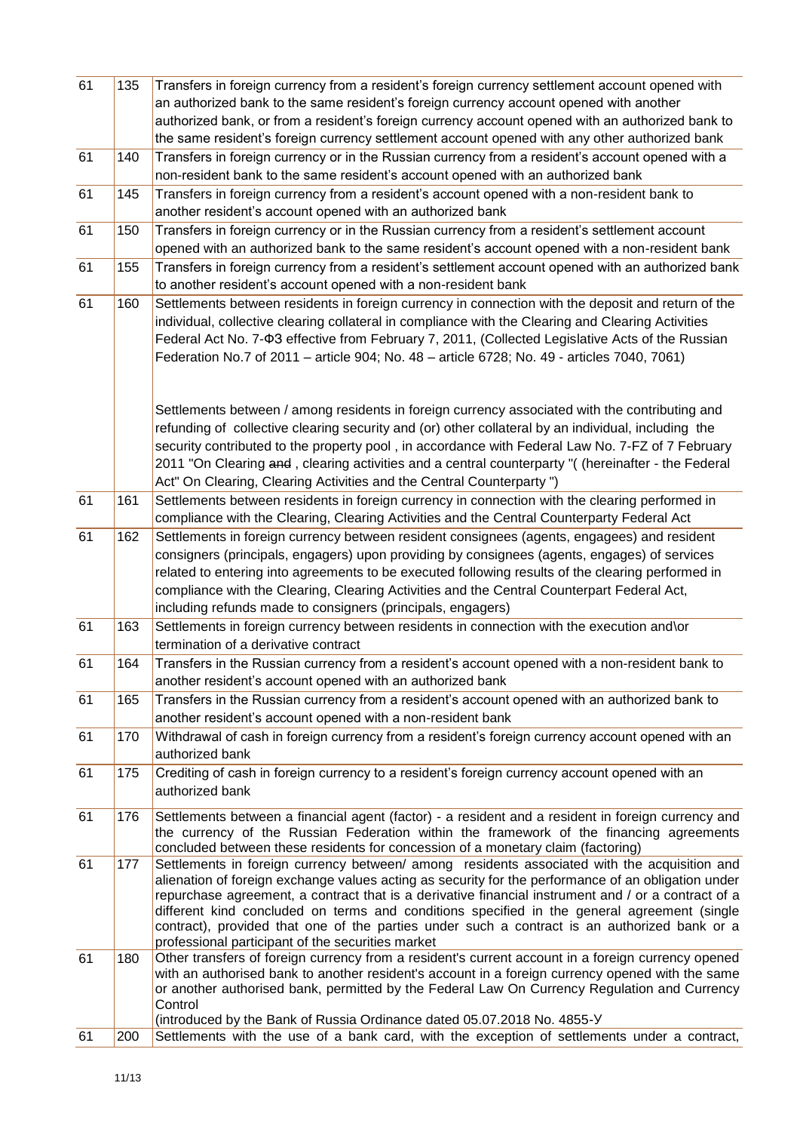| 61 | 135 | Transfers in foreign currency from a resident's foreign currency settlement account opened with<br>an authorized bank to the same resident's foreign currency account opened with another          |
|----|-----|----------------------------------------------------------------------------------------------------------------------------------------------------------------------------------------------------|
|    |     | authorized bank, or from a resident's foreign currency account opened with an authorized bank to                                                                                                   |
|    |     | the same resident's foreign currency settlement account opened with any other authorized bank                                                                                                      |
| 61 | 140 | Transfers in foreign currency or in the Russian currency from a resident's account opened with a                                                                                                   |
|    |     | non-resident bank to the same resident's account opened with an authorized bank                                                                                                                    |
| 61 | 145 | Transfers in foreign currency from a resident's account opened with a non-resident bank to                                                                                                         |
|    |     | another resident's account opened with an authorized bank                                                                                                                                          |
| 61 | 150 | Transfers in foreign currency or in the Russian currency from a resident's settlement account                                                                                                      |
|    |     | opened with an authorized bank to the same resident's account opened with a non-resident bank                                                                                                      |
| 61 | 155 | Transfers in foreign currency from a resident's settlement account opened with an authorized bank<br>to another resident's account opened with a non-resident bank                                 |
| 61 | 160 | Settlements between residents in foreign currency in connection with the deposit and return of the                                                                                                 |
|    |     | individual, collective clearing collateral in compliance with the Clearing and Clearing Activities                                                                                                 |
|    |     | Federal Act No. 7-ФЗ effective from February 7, 2011, (Collected Legislative Acts of the Russian                                                                                                   |
|    |     | Federation No.7 of 2011 - article 904; No. 48 - article 6728; No. 49 - articles 7040, 7061)                                                                                                        |
|    |     |                                                                                                                                                                                                    |
|    |     |                                                                                                                                                                                                    |
|    |     | Settlements between / among residents in foreign currency associated with the contributing and                                                                                                     |
|    |     | refunding of collective clearing security and (or) other collateral by an individual, including the                                                                                                |
|    |     | security contributed to the property pool, in accordance with Federal Law No. 7-FZ of 7 February                                                                                                   |
|    |     | 2011 "On Clearing and, clearing activities and a central counterparty "( (hereinafter - the Federal                                                                                                |
|    |     | Act" On Clearing, Clearing Activities and the Central Counterparty ")                                                                                                                              |
| 61 | 161 | Settlements between residents in foreign currency in connection with the clearing performed in                                                                                                     |
|    |     | compliance with the Clearing, Clearing Activities and the Central Counterparty Federal Act                                                                                                         |
| 61 | 162 | Settlements in foreign currency between resident consignees (agents, engagees) and resident                                                                                                        |
|    |     | consigners (principals, engagers) upon providing by consignees (agents, engages) of services                                                                                                       |
|    |     | related to entering into agreements to be executed following results of the clearing performed in                                                                                                  |
|    |     | compliance with the Clearing, Clearing Activities and the Central Counterpart Federal Act,                                                                                                         |
|    |     | including refunds made to consigners (principals, engagers)                                                                                                                                        |
| 61 | 163 | Settlements in foreign currency between residents in connection with the execution and\or                                                                                                          |
|    |     | termination of a derivative contract                                                                                                                                                               |
| 61 | 164 | Transfers in the Russian currency from a resident's account opened with a non-resident bank to                                                                                                     |
|    |     | another resident's account opened with an authorized bank                                                                                                                                          |
| 61 | 165 | Transfers in the Russian currency from a resident's account opened with an authorized bank to                                                                                                      |
|    |     | another resident's account opened with a non-resident bank                                                                                                                                         |
| 61 | 170 | Withdrawal of cash in foreign currency from a resident's foreign currency account opened with an                                                                                                   |
|    |     | authorized bank                                                                                                                                                                                    |
| 61 | 175 | Crediting of cash in foreign currency to a resident's foreign currency account opened with an                                                                                                      |
|    |     | authorized bank                                                                                                                                                                                    |
| 61 | 176 | Settlements between a financial agent (factor) - a resident and a resident in foreign currency and                                                                                                 |
|    |     | the currency of the Russian Federation within the framework of the financing agreements                                                                                                            |
|    |     | concluded between these residents for concession of a monetary claim (factoring)                                                                                                                   |
| 61 | 177 | Settlements in foreign currency between/ among residents associated with the acquisition and                                                                                                       |
|    |     | alienation of foreign exchange values acting as security for the performance of an obligation under                                                                                                |
|    |     | repurchase agreement, a contract that is a derivative financial instrument and / or a contract of a<br>different kind concluded on terms and conditions specified in the general agreement (single |
|    |     | contract), provided that one of the parties under such a contract is an authorized bank or a                                                                                                       |
|    |     | professional participant of the securities market                                                                                                                                                  |
| 61 | 180 | Other transfers of foreign currency from a resident's current account in a foreign currency opened                                                                                                 |
|    |     | with an authorised bank to another resident's account in a foreign currency opened with the same                                                                                                   |
|    |     | or another authorised bank, permitted by the Federal Law On Currency Regulation and Currency                                                                                                       |
|    |     | Control<br>(introduced by the Bank of Russia Ordinance dated 05.07.2018 No. 4855-Y                                                                                                                 |
| 61 | 200 | Settlements with the use of a bank card, with the exception of settlements under a contract,                                                                                                       |
|    |     |                                                                                                                                                                                                    |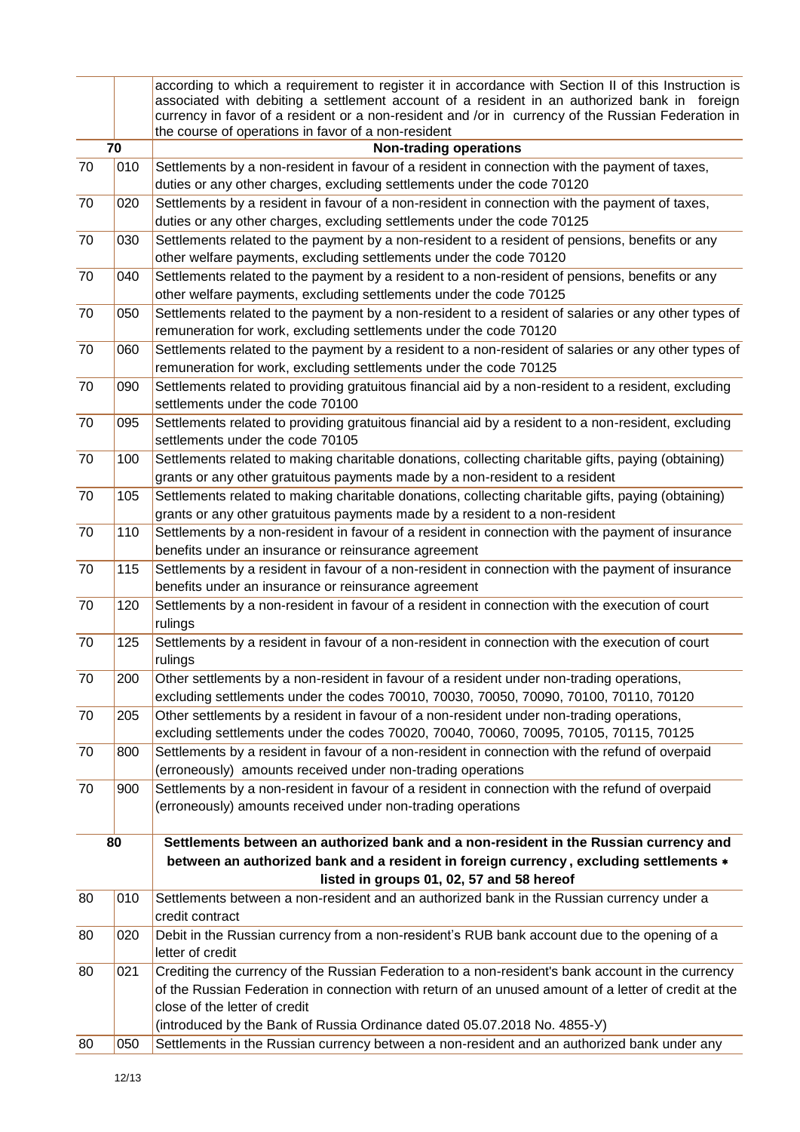|    |     | according to which a requirement to register it in accordance with Section II of this Instruction is |
|----|-----|------------------------------------------------------------------------------------------------------|
|    |     | associated with debiting a settlement account of a resident in an authorized bank in foreign         |
|    |     | currency in favor of a resident or a non-resident and /or in currency of the Russian Federation in   |
|    |     | the course of operations in favor of a non-resident                                                  |
|    | 70  | <b>Non-trading operations</b>                                                                        |
| 70 | 010 | Settlements by a non-resident in favour of a resident in connection with the payment of taxes,       |
|    |     | duties or any other charges, excluding settlements under the code 70120                              |
| 70 | 020 | Settlements by a resident in favour of a non-resident in connection with the payment of taxes,       |
|    |     | duties or any other charges, excluding settlements under the code 70125                              |
| 70 | 030 | Settlements related to the payment by a non-resident to a resident of pensions, benefits or any      |
|    |     | other welfare payments, excluding settlements under the code 70120                                   |
| 70 | 040 | Settlements related to the payment by a resident to a non-resident of pensions, benefits or any      |
|    |     | other welfare payments, excluding settlements under the code 70125                                   |
| 70 | 050 | Settlements related to the payment by a non-resident to a resident of salaries or any other types of |
|    |     |                                                                                                      |
|    |     | remuneration for work, excluding settlements under the code 70120                                    |
| 70 | 060 | Settlements related to the payment by a resident to a non-resident of salaries or any other types of |
|    |     | remuneration for work, excluding settlements under the code 70125                                    |
| 70 | 090 | Settlements related to providing gratuitous financial aid by a non-resident to a resident, excluding |
|    |     | settlements under the code 70100                                                                     |
| 70 | 095 | Settlements related to providing gratuitous financial aid by a resident to a non-resident, excluding |
|    |     | settlements under the code 70105                                                                     |
| 70 | 100 | Settlements related to making charitable donations, collecting charitable gifts, paying (obtaining)  |
|    |     | grants or any other gratuitous payments made by a non-resident to a resident                         |
| 70 | 105 | Settlements related to making charitable donations, collecting charitable gifts, paying (obtaining)  |
|    |     | grants or any other gratuitous payments made by a resident to a non-resident                         |
| 70 | 110 | Settlements by a non-resident in favour of a resident in connection with the payment of insurance    |
|    |     | benefits under an insurance or reinsurance agreement                                                 |
| 70 | 115 | Settlements by a resident in favour of a non-resident in connection with the payment of insurance    |
|    |     | benefits under an insurance or reinsurance agreement                                                 |
| 70 | 120 | Settlements by a non-resident in favour of a resident in connection with the execution of court      |
|    |     | rulings                                                                                              |
| 70 | 125 | Settlements by a resident in favour of a non-resident in connection with the execution of court      |
|    |     | rulings                                                                                              |
| 70 | 200 | Other settlements by a non-resident in favour of a resident under non-trading operations,            |
|    |     | excluding settlements under the codes 70010, 70030, 70050, 70090, 70100, 70110, 70120                |
| 70 | 205 | Other settlements by a resident in favour of a non-resident under non-trading operations,            |
|    |     | excluding settlements under the codes 70020, 70040, 70060, 70095, 70105, 70115, 70125                |
| 70 | 800 | Settlements by a resident in favour of a non-resident in connection with the refund of overpaid      |
|    |     |                                                                                                      |
|    |     | (erroneously) amounts received under non-trading operations                                          |
| 70 | 900 | Settlements by a non-resident in favour of a resident in connection with the refund of overpaid      |
|    |     | (erroneously) amounts received under non-trading operations                                          |
|    |     |                                                                                                      |
|    | 80  | Settlements between an authorized bank and a non-resident in the Russian currency and                |
|    |     | between an authorized bank and a resident in foreign currency, excluding settlements *               |
|    |     | listed in groups 01, 02, 57 and 58 hereof                                                            |
| 80 | 010 | Settlements between a non-resident and an authorized bank in the Russian currency under a            |
|    |     | credit contract                                                                                      |
| 80 | 020 | Debit in the Russian currency from a non-resident's RUB bank account due to the opening of a         |
|    |     | letter of credit                                                                                     |
| 80 | 021 | Crediting the currency of the Russian Federation to a non-resident's bank account in the currency    |
|    |     | of the Russian Federation in connection with return of an unused amount of a letter of credit at the |
|    |     | close of the letter of credit                                                                        |
|    |     | (introduced by the Bank of Russia Ordinance dated 05.07.2018 No. 4855-Y)                             |
| 80 | 050 | Settlements in the Russian currency between a non-resident and an authorized bank under any          |
|    |     |                                                                                                      |